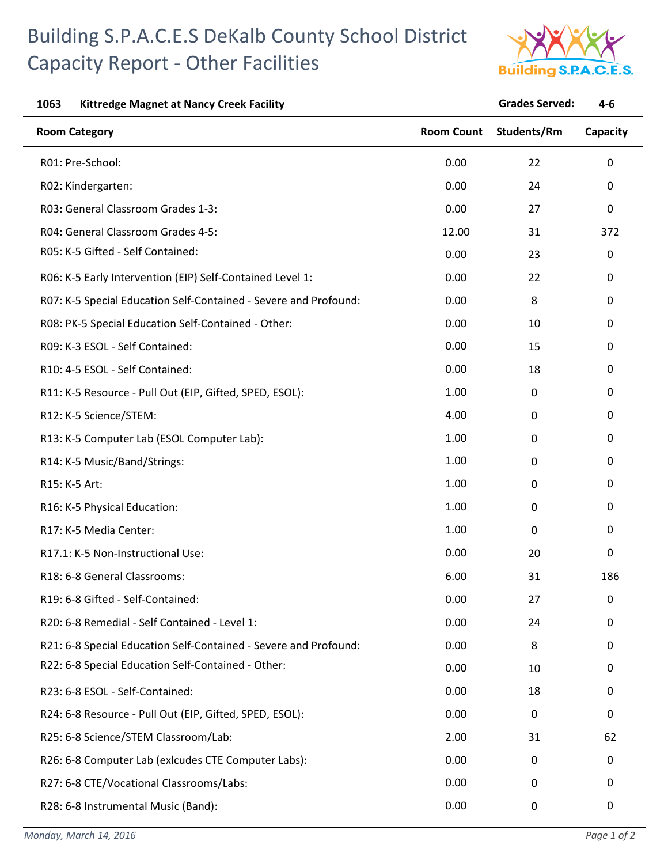## Building S.P.A.C.E.S DeKalb County School District Capacity Report - Other Facilities



| 1063<br><b>Kittredge Magnet at Nancy Creek Facility</b>          |                   | <b>Grades Served:</b> | $4 - 6$     |
|------------------------------------------------------------------|-------------------|-----------------------|-------------|
| <b>Room Category</b>                                             | <b>Room Count</b> | Students/Rm           | Capacity    |
| R01: Pre-School:                                                 | 0.00              | 22                    | $\mathbf 0$ |
| R02: Kindergarten:                                               | 0.00              | 24                    | 0           |
| R03: General Classroom Grades 1-3:                               | 0.00              | 27                    | 0           |
| R04: General Classroom Grades 4-5:                               | 12.00             | 31                    | 372         |
| R05: K-5 Gifted - Self Contained:                                | 0.00              | 23                    | $\mathbf 0$ |
| R06: K-5 Early Intervention (EIP) Self-Contained Level 1:        | 0.00              | 22                    | 0           |
| R07: K-5 Special Education Self-Contained - Severe and Profound: | 0.00              | 8                     | 0           |
| R08: PK-5 Special Education Self-Contained - Other:              | 0.00              | 10                    | 0           |
| R09: K-3 ESOL - Self Contained:                                  | 0.00              | 15                    | $\mathbf 0$ |
| R10: 4-5 ESOL - Self Contained:                                  | 0.00              | 18                    | $\mathbf 0$ |
| R11: K-5 Resource - Pull Out (EIP, Gifted, SPED, ESOL):          | 1.00              | 0                     | 0           |
| R12: K-5 Science/STEM:                                           | 4.00              | 0                     | 0           |
| R13: K-5 Computer Lab (ESOL Computer Lab):                       | 1.00              | 0                     | $\mathbf 0$ |
| R14: K-5 Music/Band/Strings:                                     | 1.00              | 0                     | $\mathbf 0$ |
| R15: K-5 Art:                                                    | 1.00              | 0                     | $\mathbf 0$ |
| R16: K-5 Physical Education:                                     | 1.00              | 0                     | 0           |
| R17: K-5 Media Center:                                           | 1.00              | 0                     | 0           |
| R17.1: K-5 Non-Instructional Use:                                | 0.00              | 20                    | 0           |
| R18: 6-8 General Classrooms:                                     | 6.00              | 31                    | 186         |
| R19: 6-8 Gifted - Self-Contained:                                | 0.00              | 27                    | 0           |
| R20: 6-8 Remedial - Self Contained - Level 1:                    | 0.00              | 24                    | 0           |
| R21: 6-8 Special Education Self-Contained - Severe and Profound: | 0.00              | 8                     | 0           |
| R22: 6-8 Special Education Self-Contained - Other:               | 0.00              | 10                    | $\mathbf 0$ |
| R23: 6-8 ESOL - Self-Contained:                                  | 0.00              | 18                    | 0           |
| R24: 6-8 Resource - Pull Out (EIP, Gifted, SPED, ESOL):          | 0.00              | $\mathbf 0$           | 0           |
| R25: 6-8 Science/STEM Classroom/Lab:                             | 2.00              | 31                    | 62          |
| R26: 6-8 Computer Lab (exicudes CTE Computer Labs):              | 0.00              | $\mathbf 0$           | $\mathbf 0$ |
| R27: 6-8 CTE/Vocational Classrooms/Labs:                         | 0.00              | 0                     | 0           |
| R28: 6-8 Instrumental Music (Band):                              | 0.00              | $\boldsymbol{0}$      | 0           |